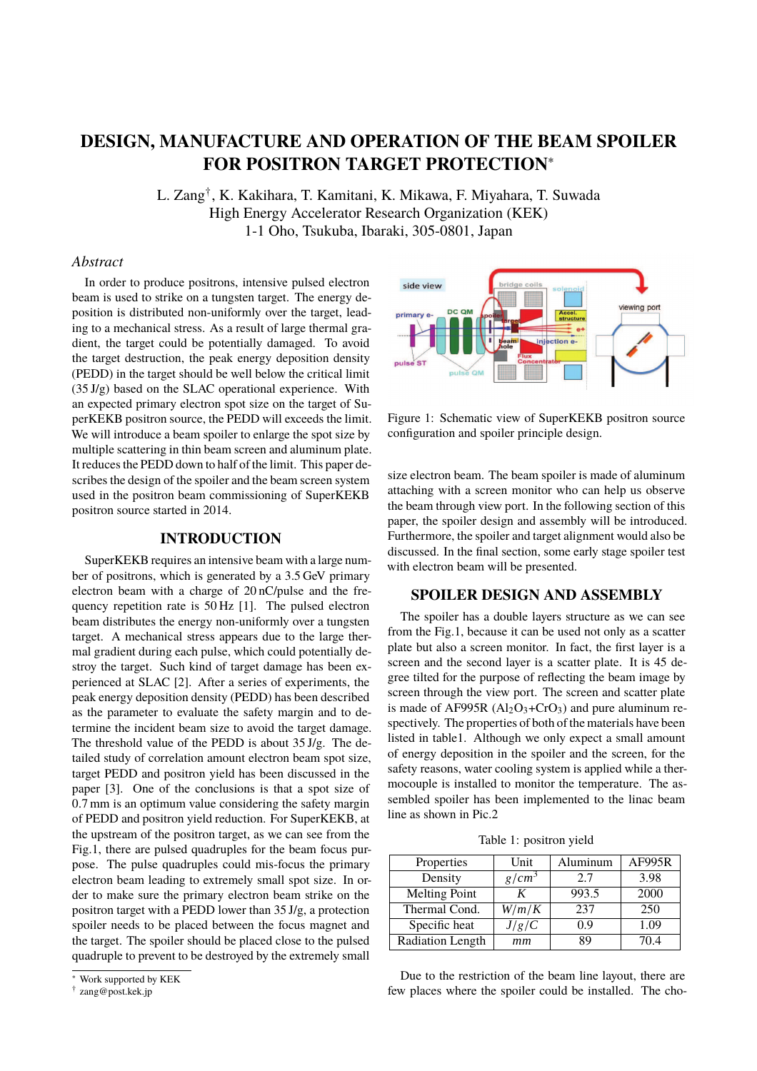# **DESIGN, MANUFACTURE AND OPERATION OF THE BEAM SPOILER FOR POSITRON TARGET PROTECTION**<sup>∗</sup>

L. Zang<sup>†</sup>, K. Kakihara, T. Kamitani, K. Mikawa, F. Miyahara, T. Suwada High Energy Accelerator Research Organization (KEK) 1-1 Oho, Tsukuba, Ibaraki, 305-0801, Japan

# *Abstract*

In order to produce positrons, intensive pulsed electron beam is used to strike on a tungsten target. The energy deposition is distributed non-uniformly over the target, leading to a mechanical stress. As a result of large thermal gradient, the target could be potentially damaged. To avoid the target destruction, the peak energy deposition density (PEDD) in the target should be well below the critical limit  $(35 \text{ J/g})$  based on the SLAC operational experience. With an expected primary electron spot size on the target of SuperKEKB positron source, the PEDD will exceeds the limit. We will introduce a beam spoiler to enlarge the spot size by multiple scattering in thin beam screen and aluminum plate. It reduces the PEDD down to half of the limit. This paper describes the design of the spoiler and the beam screen system used in the positron beam commissioning of SuperKEKB positron source started in 2014.

### **INTRODUCTION**

SuperKEKB requires an intensive beam with a large number of positrons, which is generated by a 3.5 GeV primary electron beam with a charge of 20 nC/pulse and the frequency repetition rate is 50 Hz [1]. The pulsed electron beam distributes the energy non-uniformly over a tungsten target. A mechanical stress appears due to the large thermal gradient during each pulse, which could potentially destroy the target. Such kind of target damage has been experienced at SLAC [2]. After a series of experiments, the peak energy deposition density (PEDD) has been described as the parameter to evaluate the safety margin and to determine the incident beam size to avoid the target damage. The threshold value of the PEDD is about 35 J/g. The detailed study of correlation amount electron beam spot size, target PEDD and positron yield has been discussed in the paper [3]. One of the conclusions is that a spot size of 0.7 mm is an optimum value considering the safety margin of PEDD and positron yield reduction. For SuperKEKB, at the upstream of the positron target, as we can see from the Fig.1, there are pulsed quadruples for the beam focus purpose. The pulse quadruples could mis-focus the primary electron beam leading to extremely small spot size. In order to make sure the primary electron beam strike on the positron target with a PEDD lower than 35 J/g, a protection spoiler needs to be placed between the focus magnet and the target. The spoiler should be placed close to the pulsed quadruple to prevent to be destroyed by the extremely small



Figure 1: Schematic view of SuperKEKB positron source configuration and spoiler principle design.

size electron beam. The beam spoiler is made of aluminum attaching with a screen monitor who can help us observe the beam through view port. In the following section of this paper, the spoiler design and assembly will be introduced. Furthermore, the spoiler and target alignment would also be discussed. In the final section, some early stage spoiler test with electron beam will be presented.

#### **SPOILER DESIGN AND ASSEMBLY**

The spoiler has a double layers structure as we can see from the Fig.1, because it can be used not only as a scatter plate but also a screen monitor. In fact, the first layer is a screen and the second layer is a scatter plate. It is 45 degree tilted for the purpose of reflecting the beam image by screen through the view port. The screen and scatter plate is made of AF995R  $(AI<sub>2</sub>O<sub>3</sub>+CrO<sub>3</sub>)$  and pure aluminum respectively. The properties of both of the materials have been listed in table1. Although we only expect a small amount of energy deposition in the spoiler and the screen, for the safety reasons, water cooling system is applied while a thermocouple is installed to monitor the temperature. The assembled spoiler has been implemented to the linac beam line as shown in Pic.2

Table 1: positron yield

| Properties              | Unit              | Aluminum | <b>AF995R</b> |
|-------------------------|-------------------|----------|---------------|
| Density                 | g/cm <sup>3</sup> | 2.7      | 3.98          |
| <b>Melting Point</b>    |                   | 993.5    | 2000          |
| Thermal Cond.           | W/m/K             | 237      | 250           |
| Specific heat           | J/g/C             | 0.9      | 1.09          |
| <b>Radiation Length</b> | mm                | 89       | 70 4          |

Due to the restriction of the beam line layout, there are few places where the spoiler could be installed. The cho-

<sup>∗</sup> Work supported by KEK

<sup>†</sup> zang@post.kek.jp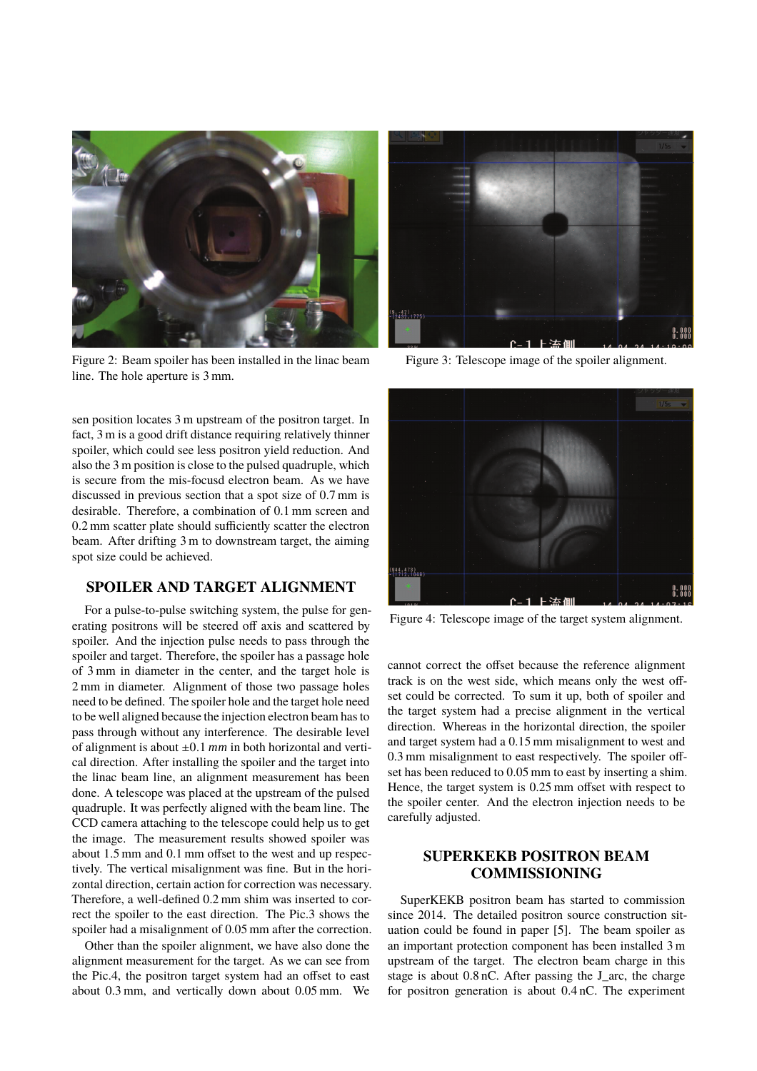

Figure 2: Beam spoiler has been installed in the linac beam line. The hole aperture is 3 mm.

sen position locates 3 m upstream of the positron target. In fact, 3 m is a good drift distance requiring relatively thinner spoiler, which could see less positron yield reduction. And also the 3 m position is close to the pulsed quadruple, which is secure from the mis-focusd electron beam. As we have discussed in previous section that a spot size of 0.7 mm is desirable. Therefore, a combination of 0.1 mm screen and 0.2 mm scatter plate should sufficiently scatter the electron beam. After drifting 3 m to downstream target, the aiming spot size could be achieved.

# **SPOILER AND TARGET ALIGNMENT**

For a pulse-to-pulse switching system, the pulse for generating positrons will be steered off axis and scattered by spoiler. And the injection pulse needs to pass through the spoiler and target. Therefore, the spoiler has a passage hole of 3 mm in diameter in the center, and the target hole is 2 mm in diameter. Alignment of those two passage holes need to be defined. The spoiler hole and the target hole need to be well aligned because the injection electron beam has to pass through without any interference. The desirable level of alignment is about ±0.1 *mm* in both horizontal and vertical direction. After installing the spoiler and the target into the linac beam line, an alignment measurement has been done. A telescope was placed at the upstream of the pulsed quadruple. It was perfectly aligned with the beam line. The CCD camera attaching to the telescope could help us to get the image. The measurement results showed spoiler was about 1.5 mm and 0.1 mm offset to the west and up respectively. The vertical misalignment was fine. But in the horizontal direction, certain action for correction was necessary. Therefore, a well-defined 0.2 mm shim was inserted to correct the spoiler to the east direction. The Pic.3 shows the spoiler had a misalignment of 0.05 mm after the correction.

Other than the spoiler alignment, we have also done the alignment measurement for the target. As we can see from the Pic.4, the positron target system had an offset to east about 0.3 mm, and vertically down about 0.05 mm. We



Figure 3: Telescope image of the spoiler alignment.



Figure 4: Telescope image of the target system alignment.

cannot correct the offset because the reference alignment track is on the west side, which means only the west offset could be corrected. To sum it up, both of spoiler and the target system had a precise alignment in the vertical direction. Whereas in the horizontal direction, the spoiler and target system had a 0.15 mm misalignment to west and 0.3 mm misalignment to east respectively. The spoiler offset has been reduced to 0.05 mm to east by inserting a shim. Hence, the target system is 0.25 mm offset with respect to the spoiler center. And the electron injection needs to be carefully adjusted.

# **SUPERKEKB POSITRON BEAM COMMISSIONING**

SuperKEKB positron beam has started to commission since 2014. The detailed positron source construction situation could be found in paper [5]. The beam spoiler as an important protection component has been installed 3 m upstream of the target. The electron beam charge in this stage is about 0.8 nC. After passing the J\_arc, the charge for positron generation is about 0.4 nC. The experiment